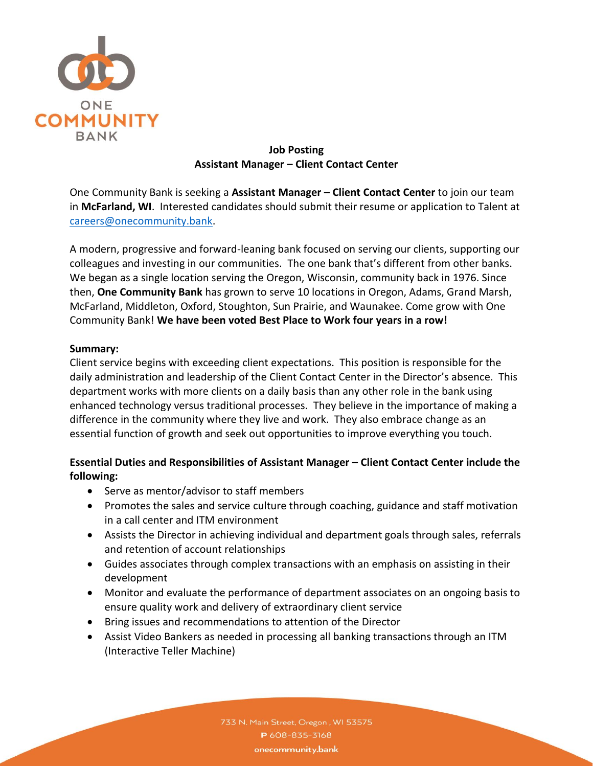

### **Job Posting Assistant Manager – Client Contact Center**

One Community Bank is seeking a **Assistant Manager – Client Contact Center** to join our team in **McFarland, WI**. Interested candidates should submit their resume or application to Talent at [careers@onecommunity.bank.](mailto:careers@onecommunity.bank)

A modern, progressive and forward-leaning bank focused on serving our clients, supporting our colleagues and investing in our communities. The one bank that's different from other banks. We began as a single location serving the Oregon, Wisconsin, community back in 1976. Since then, **One Community Bank** has grown to serve 10 locations in Oregon, Adams, Grand Marsh, McFarland, Middleton, Oxford, Stoughton, Sun Prairie, and Waunakee. Come grow with One Community Bank! **We have been voted Best Place to Work four years in a row!**

#### **Summary:**

Client service begins with exceeding client expectations. This position is responsible for the daily administration and leadership of the Client Contact Center in the Director's absence. This department works with more clients on a daily basis than any other role in the bank using enhanced technology versus traditional processes. They believe in the importance of making a difference in the community where they live and work. They also embrace change as an essential function of growth and seek out opportunities to improve everything you touch.

# **Essential Duties and Responsibilities of Assistant Manager – Client Contact Center include the following:**

- Serve as mentor/advisor to staff members
- Promotes the sales and service culture through coaching, guidance and staff motivation in a call center and ITM environment
- Assists the Director in achieving individual and department goals through sales, referrals and retention of account relationships
- Guides associates through complex transactions with an emphasis on assisting in their development
- Monitor and evaluate the performance of department associates on an ongoing basis to ensure quality work and delivery of extraordinary client service
- Bring issues and recommendations to attention of the Director
- Assist Video Bankers as needed in processing all banking transactions through an ITM (Interactive Teller Machine)

733 N. Main Street, Oregon, WI 53575 P608-835-3168 onecommunity.bank